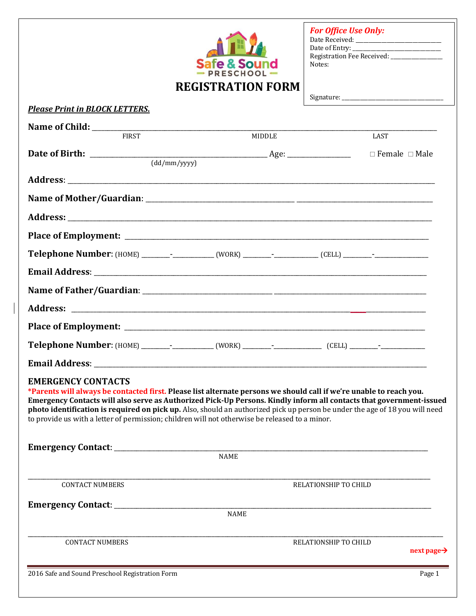| <b>REGISTRATION FORM</b>                                                                                                                                                                                                                                                                                                                                                                                                                                                                                 | $RFCHOOI =$ | <b>For Office Use Only:</b><br>Notes: |                         |
|----------------------------------------------------------------------------------------------------------------------------------------------------------------------------------------------------------------------------------------------------------------------------------------------------------------------------------------------------------------------------------------------------------------------------------------------------------------------------------------------------------|-------------|---------------------------------------|-------------------------|
| <b>Please Print in BLOCK LETTERS.</b>                                                                                                                                                                                                                                                                                                                                                                                                                                                                    |             | Signature:                            |                         |
|                                                                                                                                                                                                                                                                                                                                                                                                                                                                                                          |             |                                       |                         |
| <b>FIRST</b>                                                                                                                                                                                                                                                                                                                                                                                                                                                                                             | MIDDLE      | LAST                                  |                         |
| $\frac{1}{\text{(dd/mm/yyyy)}}$                                                                                                                                                                                                                                                                                                                                                                                                                                                                          |             | $\Box$ Female $\Box$ Male             |                         |
|                                                                                                                                                                                                                                                                                                                                                                                                                                                                                                          |             |                                       |                         |
|                                                                                                                                                                                                                                                                                                                                                                                                                                                                                                          |             |                                       |                         |
|                                                                                                                                                                                                                                                                                                                                                                                                                                                                                                          |             |                                       |                         |
|                                                                                                                                                                                                                                                                                                                                                                                                                                                                                                          |             |                                       |                         |
|                                                                                                                                                                                                                                                                                                                                                                                                                                                                                                          |             |                                       |                         |
|                                                                                                                                                                                                                                                                                                                                                                                                                                                                                                          |             |                                       |                         |
|                                                                                                                                                                                                                                                                                                                                                                                                                                                                                                          |             |                                       |                         |
|                                                                                                                                                                                                                                                                                                                                                                                                                                                                                                          |             |                                       |                         |
|                                                                                                                                                                                                                                                                                                                                                                                                                                                                                                          |             |                                       |                         |
| <b>Telephone Number:</b> (HOME) ___________________(WORK) ___________________(CELL) _____________________                                                                                                                                                                                                                                                                                                                                                                                                |             |                                       |                         |
| <b>Email Address:</b>                                                                                                                                                                                                                                                                                                                                                                                                                                                                                    |             |                                       |                         |
| <b>EMERGENCY CONTACTS</b><br>*Parents will always be contacted first. Please list alternate persons we should call if we're unable to reach you.<br>Emergency Contacts will also serve as Authorized Pick-Up Persons. Kindly inform all contacts that government-issued<br>photo identification is required on pick up. Also, should an authorized pick up person be under the age of 18 you will need<br>to provide us with a letter of permission; children will not otherwise be released to a minor. |             |                                       |                         |
| <b>NAME</b>                                                                                                                                                                                                                                                                                                                                                                                                                                                                                              |             |                                       |                         |
| <b>CONTACT NUMBERS</b>                                                                                                                                                                                                                                                                                                                                                                                                                                                                                   |             | RELATIONSHIP TO CHILD                 |                         |
| <b>NAME</b>                                                                                                                                                                                                                                                                                                                                                                                                                                                                                              |             |                                       |                         |
| <b>CONTACT NUMBERS</b>                                                                                                                                                                                                                                                                                                                                                                                                                                                                                   |             | RELATIONSHIP TO CHILD                 | next page $\rightarrow$ |
| 2016 Safe and Sound Preschool Registration Form                                                                                                                                                                                                                                                                                                                                                                                                                                                          |             |                                       | Page 1                  |